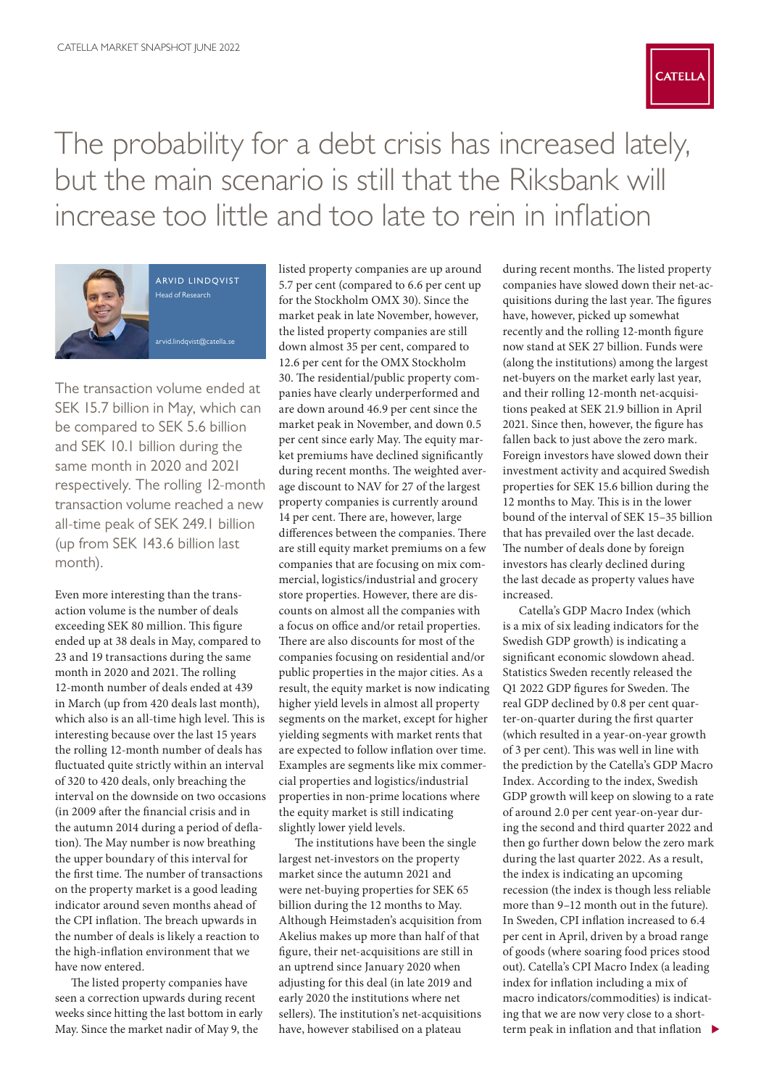

The probability for a debt crisis has increased lately, but the main scenario is still that the Riksbank will increase too little and too late to rein in inflation



arvid lindqvist Head of Research

[arvid.lindqvist@catella.se](mailto:arvid.lindqvist%40catella.se?subject=)

The transaction volume ended at SEK 15.7 billion in May, which can be compared to SEK 5.6 billion and SEK 10.1 billion during the same month in 2020 and 2021 respectively. The rolling 12-month transaction volume reached a new all-time peak of SEK 249.1 billion (up from SEK 143.6 billion last month).

Even more interesting than the transaction volume is the number of deals exceeding SEK 80 million. This figure ended up at 38 deals in May, compared to 23 and 19 transactions during the same month in 2020 and 2021. The rolling 12-month number of deals ended at 439 in March (up from 420 deals last month), which also is an all-time high level. This is interesting because over the last 15 years the rolling 12-month number of deals has fluctuated quite strictly within an interval of 320 to 420 deals, only breaching the interval on the downside on two occasions (in 2009 after the financial crisis and in the autumn 2014 during a period of deflation). The May number is now breathing the upper boundary of this interval for the first time. The number of transactions on the property market is a good leading indicator around seven months ahead of the CPI inflation. The breach upwards in the number of deals is likely a reaction to the high-inflation environment that we have now entered.

The listed property companies have seen a correction upwards during recent weeks since hitting the last bottom in early May. Since the market nadir of May 9, the

listed property companies are up around 5.7 per cent (compared to 6.6 per cent up for the Stockholm OMX 30). Since the market peak in late November, however, the listed property companies are still down almost 35 per cent, compared to 12.6 per cent for the OMX Stockholm 30. The residential/public property companies have clearly underperformed and are down around 46.9 per cent since the market peak in November, and down 0.5 per cent since early May. The equity market premiums have declined significantly during recent months. The weighted average discount to NAV for 27 of the largest property companies is currently around 14 per cent. There are, however, large differences between the companies. There are still equity market premiums on a few companies that are focusing on mix commercial, logistics/industrial and grocery store properties. However, there are discounts on almost all the companies with a focus on office and/or retail properties. There are also discounts for most of the companies focusing on residential and/or public properties in the major cities. As a result, the equity market is now indicating higher yield levels in almost all property segments on the market, except for higher yielding segments with market rents that are expected to follow inflation over time. Examples are segments like mix commercial properties and logistics/industrial properties in non-prime locations where the equity market is still indicating slightly lower yield levels.

The institutions have been the single largest net-investors on the property market since the autumn 2021 and were net-buying properties for SEK 65 billion during the 12 months to May. Although Heimstaden's acquisition from Akelius makes up more than half of that figure, their net-acquisitions are still in an uptrend since January 2020 when adjusting for this deal (in late 2019 and early 2020 the institutions where net sellers). The institution's net-acquisitions have, however stabilised on a plateau

during recent months. The listed property companies have slowed down their net-acquisitions during the last year. The figures have, however, picked up somewhat recently and the rolling 12-month figure now stand at SEK 27 billion. Funds were (along the institutions) among the largest net-buyers on the market early last year, and their rolling 12-month net-acquisitions peaked at SEK 21.9 billion in April 2021. Since then, however, the figure has fallen back to just above the zero mark. Foreign investors have slowed down their investment activity and acquired Swedish properties for SEK 15.6 billion during the 12 months to May. This is in the lower bound of the interval of SEK 15–35 billion that has prevailed over the last decade. The number of deals done by foreign investors has clearly declined during the last decade as property values have increased.

Catella's GDP Macro Index (which is a mix of six leading indicators for the Swedish GDP growth) is indicating a significant economic slowdown ahead. Statistics Sweden recently released the Q1 2022 GDP figures for Sweden. The real GDP declined by 0.8 per cent quarter-on-quarter during the first quarter (which resulted in a year-on-year growth of 3 per cent). This was well in line with the prediction by the Catella's GDP Macro Index. According to the index, Swedish GDP growth will keep on slowing to a rate of around 2.0 per cent year-on-year during the second and third quarter 2022 and then go further down below the zero mark during the last quarter 2022. As a result, the index is indicating an upcoming recession (the index is though less reliable more than 9–12 month out in the future). In Sweden, CPI inflation increased to 6.4 per cent in April, driven by a broad range of goods (where soaring food prices stood out). Catella's CPI Macro Index (a leading index for inflation including a mix of macro indicators/commodities) is indicating that we are now very close to a shortterm peak in inflation and that inflation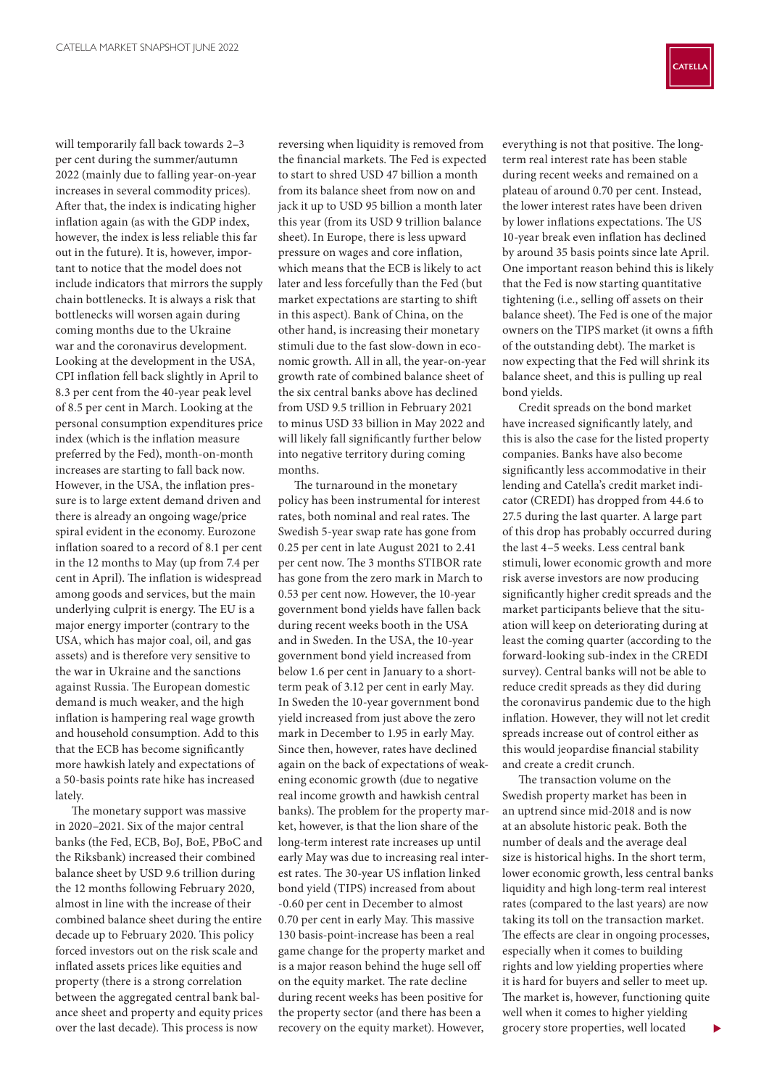will temporarily fall back towards 2–3 per cent during the summer/autumn 2022 (mainly due to falling year-on-year increases in several commodity prices). After that, the index is indicating higher inflation again (as with the GDP index, however, the index is less reliable this far out in the future). It is, however, important to notice that the model does not include indicators that mirrors the supply chain bottlenecks. It is always a risk that bottlenecks will worsen again during coming months due to the Ukraine war and the coronavirus development. Looking at the development in the USA, CPI inflation fell back slightly in April to 8.3 per cent from the 40-year peak level of 8.5 per cent in March. Looking at the personal consumption expenditures price index (which is the inflation measure preferred by the Fed), month-on-month increases are starting to fall back now. However, in the USA, the inflation pressure is to large extent demand driven and there is already an ongoing wage/price spiral evident in the economy. Eurozone inflation soared to a record of 8.1 per cent in the 12 months to May (up from 7.4 per cent in April). The inflation is widespread among goods and services, but the main underlying culprit is energy. The EU is a major energy importer (contrary to the USA, which has major coal, oil, and gas assets) and is therefore very sensitive to the war in Ukraine and the sanctions against Russia. The European domestic demand is much weaker, and the high inflation is hampering real wage growth and household consumption. Add to this that the ECB has become significantly more hawkish lately and expectations of a 50-basis points rate hike has increased lately.

The monetary support was massive in 2020–2021. Six of the major central banks (the Fed, ECB, BoJ, BoE, PBoC and the Riksbank) increased their combined balance sheet by USD 9.6 trillion during the 12 months following February 2020, almost in line with the increase of their combined balance sheet during the entire decade up to February 2020. This policy forced investors out on the risk scale and inflated assets prices like equities and property (there is a strong correlation between the aggregated central bank balance sheet and property and equity prices over the last decade). This process is now

reversing when liquidity is removed from the financial markets. The Fed is expected to start to shred USD 47 billion a month from its balance sheet from now on and jack it up to USD 95 billion a month later this year (from its USD 9 trillion balance sheet). In Europe, there is less upward pressure on wages and core inflation, which means that the ECB is likely to act later and less forcefully than the Fed (but market expectations are starting to shift in this aspect). Bank of China, on the other hand, is increasing their monetary stimuli due to the fast slow-down in economic growth. All in all, the year-on-year growth rate of combined balance sheet of the six central banks above has declined from USD 9.5 trillion in February 2021 to minus USD 33 billion in May 2022 and will likely fall significantly further below into negative territory during coming months.

The turnaround in the monetary policy has been instrumental for interest rates, both nominal and real rates. The Swedish 5-year swap rate has gone from 0.25 per cent in late August 2021 to 2.41 per cent now. The 3 months STIBOR rate has gone from the zero mark in March to 0.53 per cent now. However, the 10-year government bond yields have fallen back during recent weeks booth in the USA and in Sweden. In the USA, the 10-year government bond yield increased from below 1.6 per cent in January to a shortterm peak of 3.12 per cent in early May. In Sweden the 10-year government bond yield increased from just above the zero mark in December to 1.95 in early May. Since then, however, rates have declined again on the back of expectations of weakening economic growth (due to negative real income growth and hawkish central banks). The problem for the property market, however, is that the lion share of the long-term interest rate increases up until early May was due to increasing real interest rates. The 30-year US inflation linked bond yield (TIPS) increased from about -0.60 per cent in December to almost 0.70 per cent in early May. This massive 130 basis-point-increase has been a real game change for the property market and is a major reason behind the huge sell off on the equity market. The rate decline during recent weeks has been positive for the property sector (and there has been a recovery on the equity market). However,

everything is not that positive. The longterm real interest rate has been stable during recent weeks and remained on a plateau of around 0.70 per cent. Instead, the lower interest rates have been driven by lower inflations expectations. The US 10-year break even inflation has declined by around 35 basis points since late April. One important reason behind this is likely that the Fed is now starting quantitative tightening (i.e., selling off assets on their balance sheet). The Fed is one of the major owners on the TIPS market (it owns a fifth of the outstanding debt). The market is now expecting that the Fed will shrink its balance sheet, and this is pulling up real bond yields.

Credit spreads on the bond market have increased significantly lately, and this is also the case for the listed property companies. Banks have also become significantly less accommodative in their lending and Catella's credit market indicator (CREDI) has dropped from 44.6 to 27.5 during the last quarter. A large part of this drop has probably occurred during the last 4–5 weeks. Less central bank stimuli, lower economic growth and more risk averse investors are now producing significantly higher credit spreads and the market participants believe that the situation will keep on deteriorating during at least the coming quarter (according to the forward-looking sub-index in the CREDI survey). Central banks will not be able to reduce credit spreads as they did during the coronavirus pandemic due to the high inflation. However, they will not let credit spreads increase out of control either as this would jeopardise financial stability and create a credit crunch.

The transaction volume on the Swedish property market has been in an uptrend since mid-2018 and is now at an absolute historic peak. Both the number of deals and the average deal size is historical highs. In the short term, lower economic growth, less central banks liquidity and high long-term real interest rates (compared to the last years) are now taking its toll on the transaction market. The effects are clear in ongoing processes, especially when it comes to building rights and low yielding properties where it is hard for buyers and seller to meet up. The market is, however, functioning quite well when it comes to higher yielding grocery store properties, well located